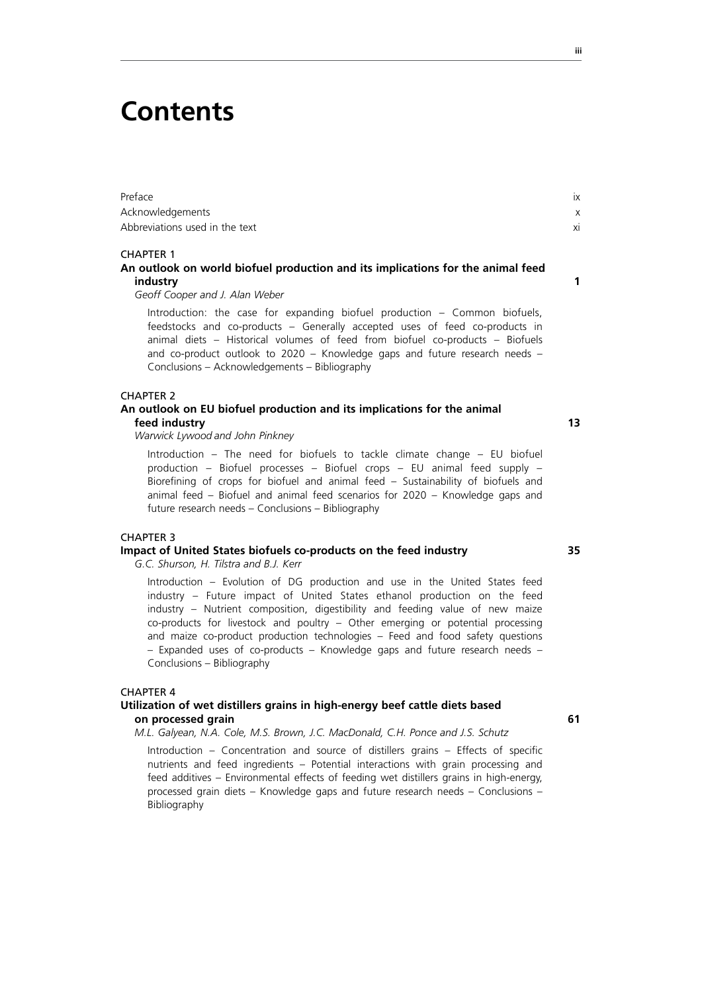## **Contents**

| Preface                        |  |
|--------------------------------|--|
| Acknowledgements               |  |
| Abbreviations used in the text |  |

#### CHAPTER 1

#### **An outlook on world biofuel production and its implications for the animal feed industry 1**

*Geoff Cooper and J. Alan Weber* 

Introduction: the case for expanding biofuel production – Common biofuels, feedstocks and co-products – Generally accepted uses of feed co-products in animal diets – Historical volumes of feed from biofuel co-products – Biofuels and co-product outlook to 2020 – Knowledge gaps and future research needs – Conclusions – Acknowledgements – Bibliography

#### CHAPTER 2

#### **An outlook on EU biofuel production and its implications for the animal feed industry 13**

*Warwick Lywood and John Pinkney* 

Introduction – The need for biofuels to tackle climate change – EU biofuel production – Biofuel processes – Biofuel crops – EU animal feed supply – Biorefining of crops for biofuel and animal feed – Sustainability of biofuels and animal feed – Biofuel and animal feed scenarios for 2020 – Knowledge gaps and future research needs – Conclusions – Bibliography

#### CHAPTER 3

#### **Impact of United States biofuels co-products on the feed industry 35**

*G.C. Shurson, H. Tilstra and B.J. Kerr*

Introduction – Evolution of DG production and use in the United States feed industry – Future impact of United States ethanol production on the feed industry – Nutrient composition, digestibility and feeding value of new maize co-products for livestock and poultry – Other emerging or potential processing and maize co-product production technologies – Feed and food safety questions – Expanded uses of co-products – Knowledge gaps and future research needs – Conclusions – Bibliography

#### CHAPTER 4

#### **Utilization of wet distillers grains in high-energy beef cattle diets based on processed grain 61**

*M.L. Galyean, N.A. Cole, M.S. Brown, J.C. MacDonald, C.H. Ponce and J.S. Schutz*

Introduction – Concentration and source of distillers grains – Effects of specific nutrients and feed ingredients – Potential interactions with grain processing and feed additives – Environmental effects of feeding wet distillers grains in high-energy, processed grain diets – Knowledge gaps and future research needs – Conclusions – Bibliography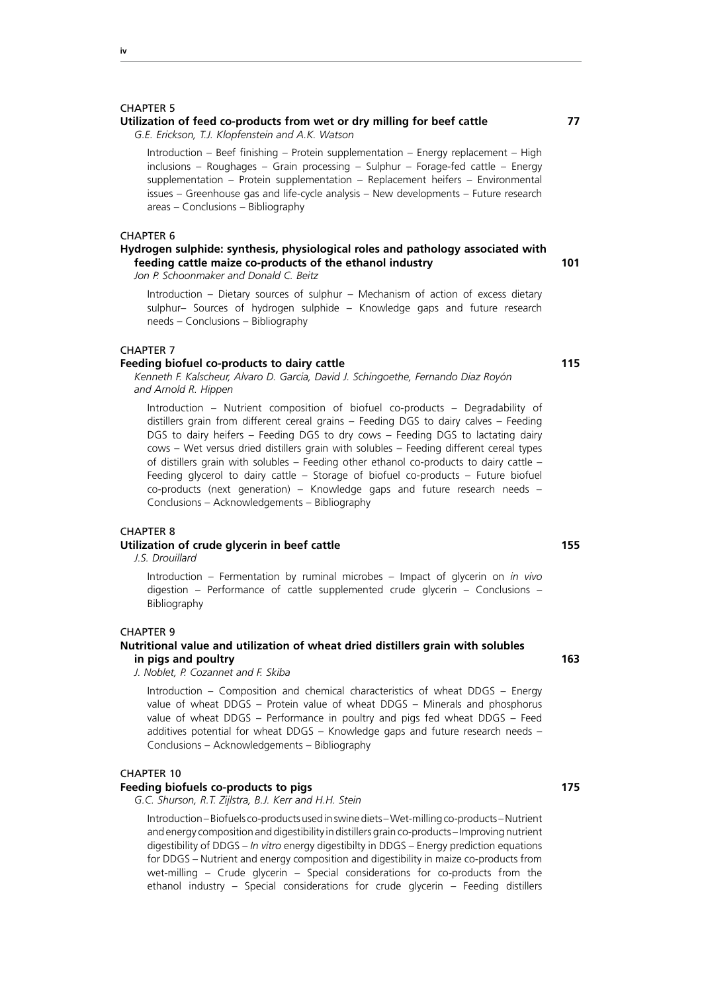#### **Utilization of feed co-products from wet or dry milling for beef cattle 77**

*G.E. Erickson, T.J. Klopfenstein and A.K. Watson*

Introduction – Beef finishing – Protein supplementation – Energy replacement – High inclusions – Roughages – Grain processing – Sulphur – Forage-fed cattle – Energy supplementation – Protein supplementation – Replacement heifers – Environmental issues – Greenhouse gas and life-cycle analysis – New developments – Future research areas – Conclusions – Bibliography

#### CHAPTER 6

#### **Hydrogen sulphide: synthesis, physiological roles and pathology associated with feeding cattle maize co-products of the ethanol industry 101**

*Jon P. Schoonmaker and Donald C. Beitz* 

Introduction – Dietary sources of sulphur – Mechanism of action of excess dietary sulphur– Sources of hydrogen sulphide – Knowledge gaps and future research needs – Conclusions – Bibliography

#### CHAPTER 7

#### **Feeding biofuel co-products to dairy cattle 115**

*Kenneth F. Kalscheur, Alvaro D. Garcia, David J. Schingoethe, Fernando Diaz Royón and Arnold R. Hippen*

Introduction – Nutrient composition of biofuel co-products – Degradability of distillers grain from different cereal grains – Feeding DGS to dairy calves – Feeding DGS to dairy heifers – Feeding DGS to dry cows – Feeding DGS to lactating dairy cows – Wet versus dried distillers grain with solubles – Feeding different cereal types of distillers grain with solubles – Feeding other ethanol co-products to dairy cattle – Feeding glycerol to dairy cattle – Storage of biofuel co-products – Future biofuel co-products (next generation) – Knowledge gaps and future research needs – Conclusions – Acknowledgements – Bibliography

#### CHAPTER 8

#### **Utilization of crude glycerin in beef cattle 155**

*J.S. Drouillard*

Introduction – Fermentation by ruminal microbes – Impact of glycerin on *in vivo*  digestion – Performance of cattle supplemented crude glycerin – Conclusions – Bibliography

#### CHAPTER 9

#### **Nutritional value and utilization of wheat dried distillers grain with solubles in pigs and poultry 163**

*J. Noblet, P. Cozannet and F. Skiba*

Introduction – Composition and chemical characteristics of wheat DDGS – Energy value of wheat DDGS – Protein value of wheat DDGS – Minerals and phosphorus value of wheat DDGS – Performance in poultry and pigs fed wheat DDGS – Feed additives potential for wheat DDGS – Knowledge gaps and future research needs – Conclusions – Acknowledgements – Bibliography

#### CHAPTER 10

#### **Feeding biofuels co-products to pigs 175**

*G.C. Shurson, R.T. Zijlstra, B.J. Kerr and H.H. Stein*

Introduction – Biofuels co-products used in swine diets – Wet-milling co-products – Nutrient and energy composition and digestibility in distillers grain co-products – Improving nutrient digestibility of DDGS – *In vitro* energy digestibilty in DDGS – Energy prediction equations for DDGS – Nutrient and energy composition and digestibility in maize co-products from wet-milling – Crude glycerin – Special considerations for co-products from the ethanol industry – Special considerations for crude glycerin – Feeding distillers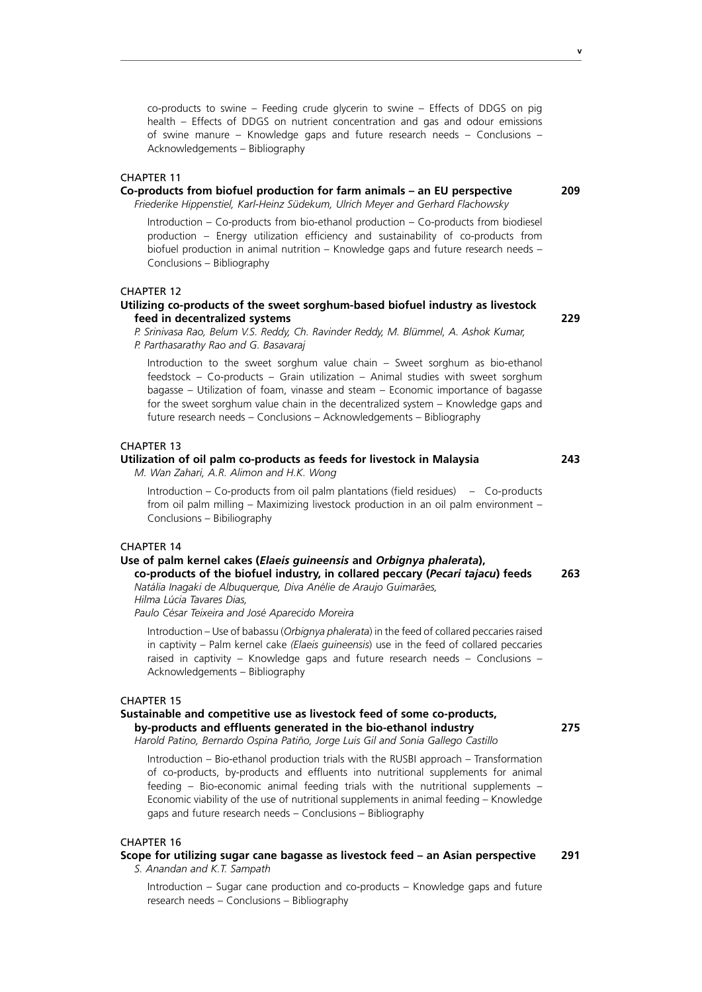co-products to swine – Feeding crude glycerin to swine – Effects of DDGS on pig health – Effects of DDGS on nutrient concentration and gas and odour emissions of swine manure – Knowledge gaps and future research needs – Conclusions – Acknowledgements – Bibliography

#### CHAPTER 11

#### **Co-products from biofuel production for farm animals – an EU perspective 209**

*Friederike Hippenstiel, Karl-Heinz Südekum, Ulrich Meyer and Gerhard Flachowsky*

Introduction – Co-products from bio-ethanol production – Co-products from biodiesel production – Energy utilization efficiency and sustainability of co-products from biofuel production in animal nutrition – Knowledge gaps and future research needs – Conclusions – Bibliography

#### CHAPTER 12

#### **Utilizing co-products of the sweet sorghum-based biofuel industry as livestock feed in decentralized systems 229**

*P. Srinivasa Rao, Belum V.S. Reddy, Ch. Ravinder Reddy, M. Blümmel, A. Ashok Kumar, P. Parthasarathy Rao and G. Basavaraj*

Introduction to the sweet sorghum value chain – Sweet sorghum as bio-ethanol feedstock – Co-products – Grain utilization – Animal studies with sweet sorghum bagasse – Utilization of foam, vinasse and steam – Economic importance of bagasse for the sweet sorghum value chain in the decentralized system – Knowledge gaps and future research needs – Conclusions – Acknowledgements – Bibliography

#### CHAPTER 13

### **Utilization of oil palm co-products as feeds for livestock in Malaysia 243**

*M. Wan Zahari, A.R. Alimon and H.K. Wong*

Introduction – Co-products from oil palm plantations (field residues) – Co-products from oil palm milling – Maximizing livestock production in an oil palm environment – Conclusions – Bibiliography

#### CHAPTER 14

## **Use of palm kernel cakes (***Elaeis guineensis* **and** *Orbignya phalerata***),**

**co-products of the biofuel industry, in collared peccary (***Pecari tajacu***) feeds 263** *Natália Inagaki de Albuquerque, Diva Anélie de Araujo Guimarães,* 

*Hilma Lúcia Tavares Dias,* 

*Paulo César Teixeira and José Aparecido Moreira*

Introduction – Use of babassu (*Orbignya phalerata*) in the feed of collared peccaries raised in captivity – Palm kernel cake *(Elaeis guineensis*) use in the feed of collared peccaries raised in captivity – Knowledge gaps and future research needs – Conclusions – Acknowledgements – Bibliography

#### CHAPTER 15

#### **Sustainable and competitive use as livestock feed of some co-products, by-products and effluents generated in the bio-ethanol industry 275**

*Harold Patino, Bernardo Ospina Patiño, Jorge Luis Gil and Sonia Gallego Castillo*

Introduction – Bio-ethanol production trials with the RUSBI approach – Transformation of co-products, by-products and effluents into nutritional supplements for animal feeding – Bio-economic animal feeding trials with the nutritional supplements – Economic viability of the use of nutritional supplements in animal feeding – Knowledge gaps and future research needs – Conclusions – Bibliography

#### CHAPTER 16

**Scope for utilizing sugar cane bagasse as livestock feed – an Asian perspective 291** *S. Anandan and K.T. Sampath*

Introduction – Sugar cane production and co-products – Knowledge gaps and future research needs – Conclusions – Bibliography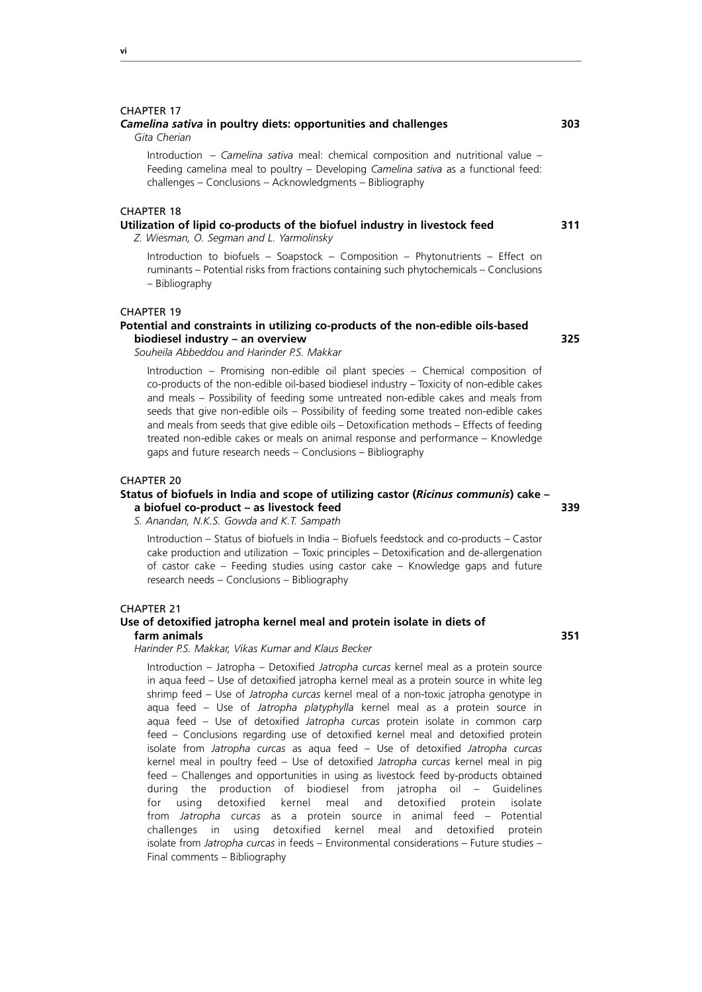*Gita Cherian*  Introduction – *Camelina sativa* meal: chemical composition and nutritional value – Feeding camelina meal to poultry – Developing *Camelina sativa* as a functional feed:

challenges – Conclusions – Acknowledgments – Bibliography

#### CHAPTER 18

## **Utilization of lipid co-products of the biofuel industry in livestock feed 311**

*Z. Wiesman, O. Segman and L. Yarmolinsky*

Introduction to biofuels – Soapstock – Composition – Phytonutrients – Effect on ruminants – Potential risks from fractions containing such phytochemicals – Conclusions – Bibliography

#### CHAPTER 19

#### **Potential and constraints in utilizing co-products of the non-edible oils-based biodiesel industry – an overview 325**

*Souheila Abbeddou and Harinder P.S. Makkar*

Introduction – Promising non-edible oil plant species – Chemical composition of co-products of the non-edible oil-based biodiesel industry – Toxicity of non-edible cakes and meals – Possibility of feeding some untreated non-edible cakes and meals from seeds that give non-edible oils – Possibility of feeding some treated non-edible cakes and meals from seeds that give edible oils – Detoxification methods – Effects of feeding treated non-edible cakes or meals on animal response and performance – Knowledge gaps and future research needs – Conclusions – Bibliography

#### CHAPTER 20

#### **Status of biofuels in India and scope of utilizing castor (***Ricinus communis***) cake – a biofuel co-product – as livestock feed 339**

*S. Anandan, N.K.S. Gowda and K.T. Sampath*

Introduction – Status of biofuels in India – Biofuels feedstock and co-products – Castor cake production and utilization – Toxic principles – Detoxification and de-allergenation of castor cake – Feeding studies using castor cake – Knowledge gaps and future research needs – Conclusions – Bibliography

#### CHAPTER 21

#### **Use of detoxified jatropha kernel meal and protein isolate in diets of farm animals 351**

#### *Harinder P.S. Makkar, Vikas Kumar and Klaus Becker*

Introduction – Jatropha – Detoxified *Jatropha curcas* kernel meal as a protein source in aqua feed – Use of detoxified jatropha kernel meal as a protein source in white leg shrimp feed – Use of *Jatropha curcas* kernel meal of a non-toxic jatropha genotype in aqua feed – Use of *Jatropha platyphylla* kernel meal as a protein source in aqua feed – Use of detoxified *Jatropha curcas* protein isolate in common carp feed – Conclusions regarding use of detoxified kernel meal and detoxified protein isolate from *Jatropha curcas* as aqua feed – Use of detoxified *Jatropha curcas* kernel meal in poultry feed – Use of detoxified *Jatropha curcas* kernel meal in pig feed – Challenges and opportunities in using as livestock feed by-products obtained during the production of biodiesel from jatropha oil – Guidelines for using detoxified kernel meal and detoxified protein isolate from *Jatropha curcas* as a protein source in animal feed – Potential challenges in using detoxified kernel meal and detoxified protein isolate from *Jatropha curcas* in feeds – Environmental considerations – Future studies – Final comments – Bibliography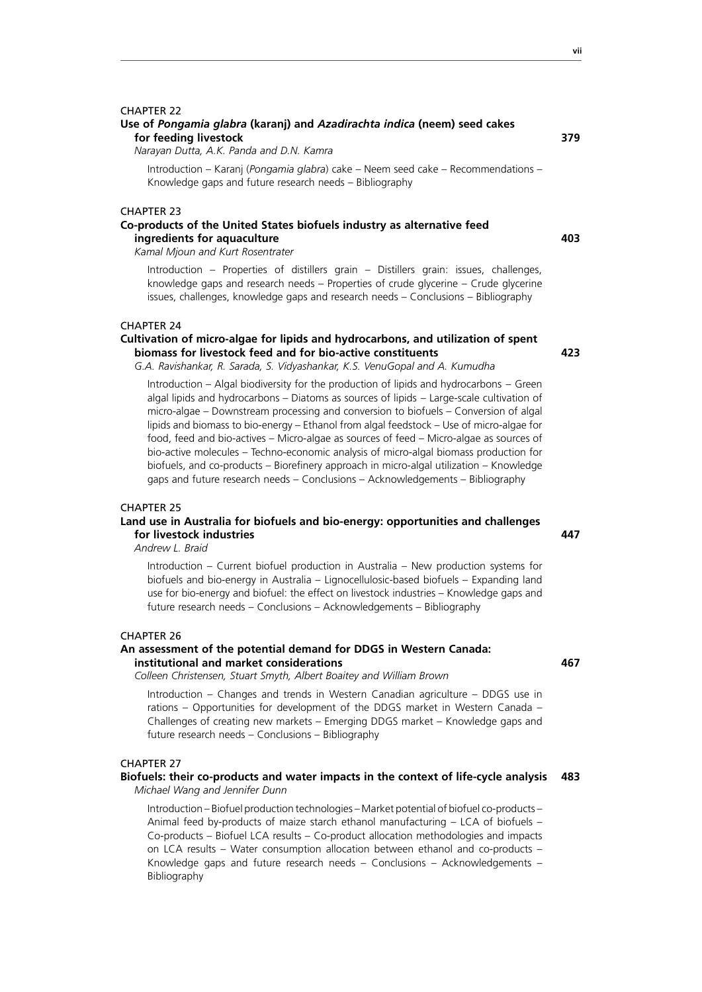#### **Use of** *Pongamia glabra* **(karanj) and** *Azadirachta indica* **(neem) seed cakes for feeding livestock 379**

*Narayan Dutta, A.K. Panda and D.N. Kamra*

Introduction – Karanj (*Pongamia glabra*) cake – Neem seed cake – Recommendations – Knowledge gaps and future research needs – Bibliography

#### CHAPTER 23

#### **Co-products of the United States biofuels industry as alternative feed ingredients for aquaculture 403**

*Kamal Mjoun and Kurt Rosentrater*

Introduction – Properties of distillers grain – Distillers grain: issues, challenges, knowledge gaps and research needs – Properties of crude glycerine – Crude glycerine issues, challenges, knowledge gaps and research needs – Conclusions – Bibliography

#### CHAPTER 24

#### **Cultivation of micro-algae for lipids and hydrocarbons, and utilization of spent biomass for livestock feed and for bio-active constituents 423**

*G.A. Ravishankar, R. Sarada, S. Vidyashankar, K.S. VenuGopal and A. Kumudha*

Introduction – Algal biodiversity for the production of lipids and hydrocarbons – Green algal lipids and hydrocarbons – Diatoms as sources of lipids – Large-scale cultivation of micro-algae – Downstream processing and conversion to biofuels – Conversion of algal lipids and biomass to bio-energy – Ethanol from algal feedstock – Use of micro-algae for food, feed and bio-actives – Micro-algae as sources of feed – Micro-algae as sources of bio-active molecules – Techno-economic analysis of micro-algal biomass production for biofuels, and co-products – Biorefinery approach in micro-algal utilization – Knowledge gaps and future research needs – Conclusions – Acknowledgements – Bibliography

#### CHAPTER 25

#### **Land use in Australia for biofuels and bio-energy: opportunities and challenges for livestock industries 447**

*Andrew L. Braid*

Introduction – Current biofuel production in Australia – New production systems for biofuels and bio-energy in Australia – Lignocellulosic-based biofuels – Expanding land use for bio-energy and biofuel: the effect on livestock industries – Knowledge gaps and future research needs – Conclusions – Acknowledgements – Bibliography

#### CHAPTER 26

#### **An assessment of the potential demand for DDGS in Western Canada: institutional and market considerations 467**

*Colleen Christensen, Stuart Smyth, Albert Boaitey and William Brown*

Introduction – Changes and trends in Western Canadian agriculture – DDGS use in rations – Opportunities for development of the DDGS market in Western Canada – Challenges of creating new markets – Emerging DDGS market – Knowledge gaps and future research needs – Conclusions – Bibliography

#### CHAPTER 27

#### **Biofuels: their co-products and water impacts in the context of life-cycle analysis 483** *Michael Wang and Jennifer Dunn*

Introduction – Biofuel production technologies – Market potential of biofuel co-products – Animal feed by-products of maize starch ethanol manufacturing – LCA of biofuels – Co-products – Biofuel LCA results – Co-product allocation methodologies and impacts on LCA results – Water consumption allocation between ethanol and co-products – Knowledge gaps and future research needs – Conclusions – Acknowledgements – Bibliography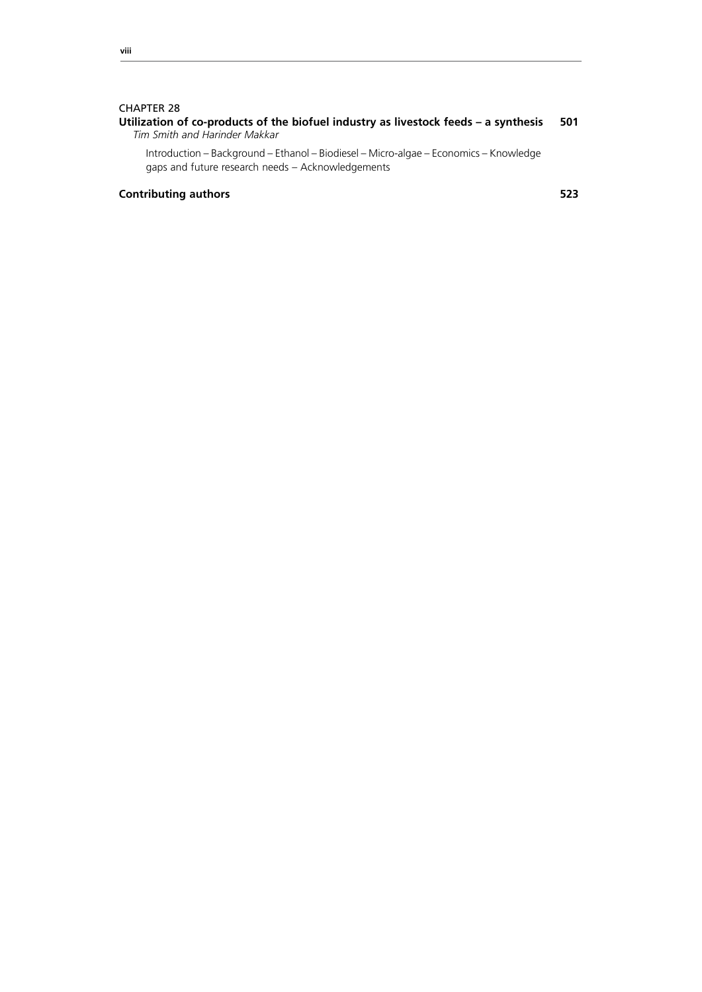#### **Utilization of co-products of the biofuel industry as livestock feeds – a synthesis 501** *Tim Smith and Harinder Makkar*

Introduction – Background – Ethanol – Biodiesel – Micro-algae – Economics – Knowledge gaps and future research needs – Acknowledgements

### **Contributing authors 523**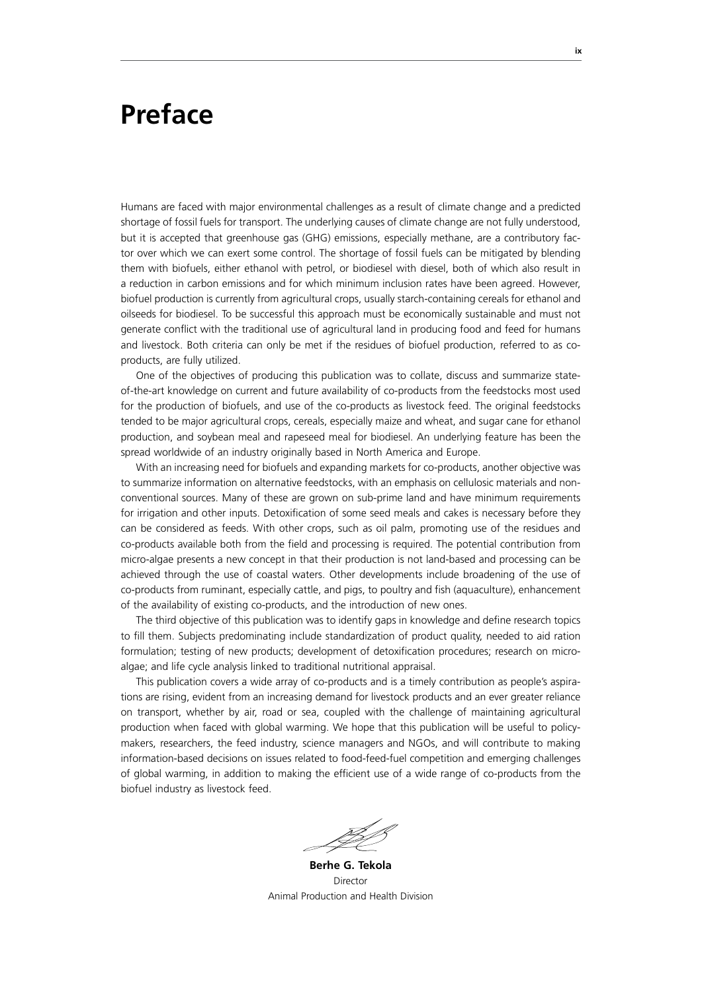## **Preface**

Humans are faced with major environmental challenges as a result of climate change and a predicted shortage of fossil fuels for transport. The underlying causes of climate change are not fully understood, but it is accepted that greenhouse gas (GHG) emissions, especially methane, are a contributory factor over which we can exert some control. The shortage of fossil fuels can be mitigated by blending them with biofuels, either ethanol with petrol, or biodiesel with diesel, both of which also result in a reduction in carbon emissions and for which minimum inclusion rates have been agreed. However, biofuel production is currently from agricultural crops, usually starch-containing cereals for ethanol and oilseeds for biodiesel. To be successful this approach must be economically sustainable and must not generate conflict with the traditional use of agricultural land in producing food and feed for humans and livestock. Both criteria can only be met if the residues of biofuel production, referred to as coproducts, are fully utilized.

One of the objectives of producing this publication was to collate, discuss and summarize stateof-the-art knowledge on current and future availability of co-products from the feedstocks most used for the production of biofuels, and use of the co-products as livestock feed. The original feedstocks tended to be major agricultural crops, cereals, especially maize and wheat, and sugar cane for ethanol production, and soybean meal and rapeseed meal for biodiesel. An underlying feature has been the spread worldwide of an industry originally based in North America and Europe.

With an increasing need for biofuels and expanding markets for co-products, another objective was to summarize information on alternative feedstocks, with an emphasis on cellulosic materials and nonconventional sources. Many of these are grown on sub-prime land and have minimum requirements for irrigation and other inputs. Detoxification of some seed meals and cakes is necessary before they can be considered as feeds. With other crops, such as oil palm, promoting use of the residues and co-products available both from the field and processing is required. The potential contribution from micro-algae presents a new concept in that their production is not land-based and processing can be achieved through the use of coastal waters. Other developments include broadening of the use of co-products from ruminant, especially cattle, and pigs, to poultry and fish (aquaculture), enhancement of the availability of existing co-products, and the introduction of new ones.

The third objective of this publication was to identify gaps in knowledge and define research topics to fill them. Subjects predominating include standardization of product quality, needed to aid ration formulation; testing of new products; development of detoxification procedures; research on microalgae; and life cycle analysis linked to traditional nutritional appraisal.

This publication covers a wide array of co-products and is a timely contribution as people's aspirations are rising, evident from an increasing demand for livestock products and an ever greater reliance on transport, whether by air, road or sea, coupled with the challenge of maintaining agricultural production when faced with global warming. We hope that this publication will be useful to policymakers, researchers, the feed industry, science managers and NGOs, and will contribute to making information-based decisions on issues related to food-feed-fuel competition and emerging challenges of global warming, in addition to making the efficient use of a wide range of co-products from the biofuel industry as livestock feed.

**Berhe G. Tekola** Director Animal Production and Health Division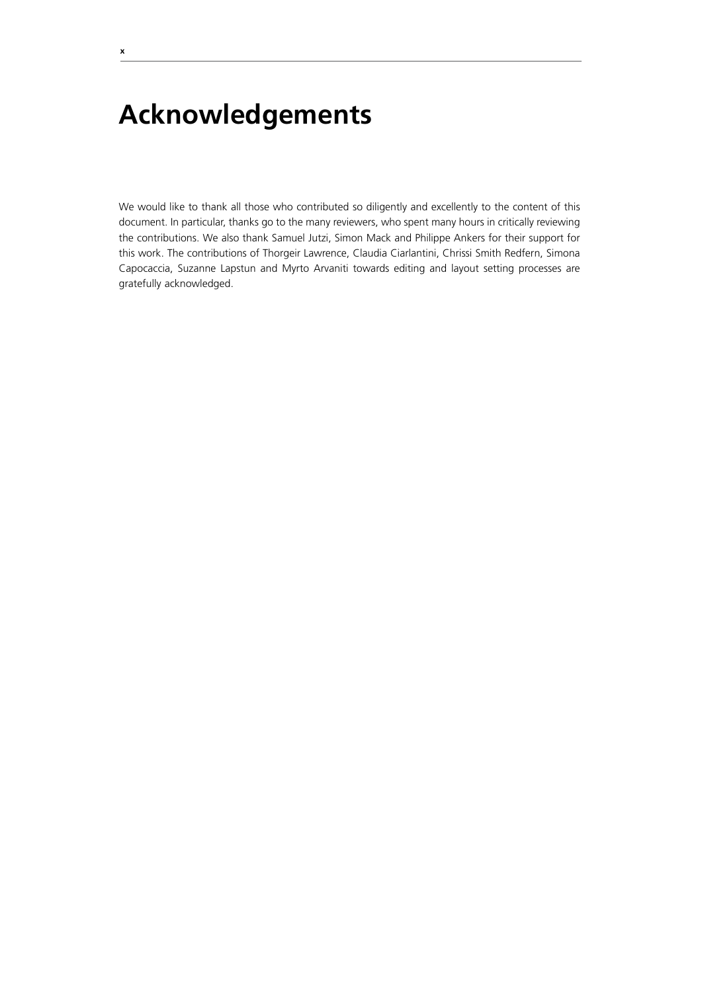# **Acknowledgements**

We would like to thank all those who contributed so diligently and excellently to the content of this document. In particular, thanks go to the many reviewers, who spent many hours in critically reviewing the contributions. We also thank Samuel Jutzi, Simon Mack and Philippe Ankers for their support for this work. The contributions of Thorgeir Lawrence, Claudia Ciarlantini, Chrissi Smith Redfern, Simona Capocaccia, Suzanne Lapstun and Myrto Arvaniti towards editing and layout setting processes are gratefully acknowledged.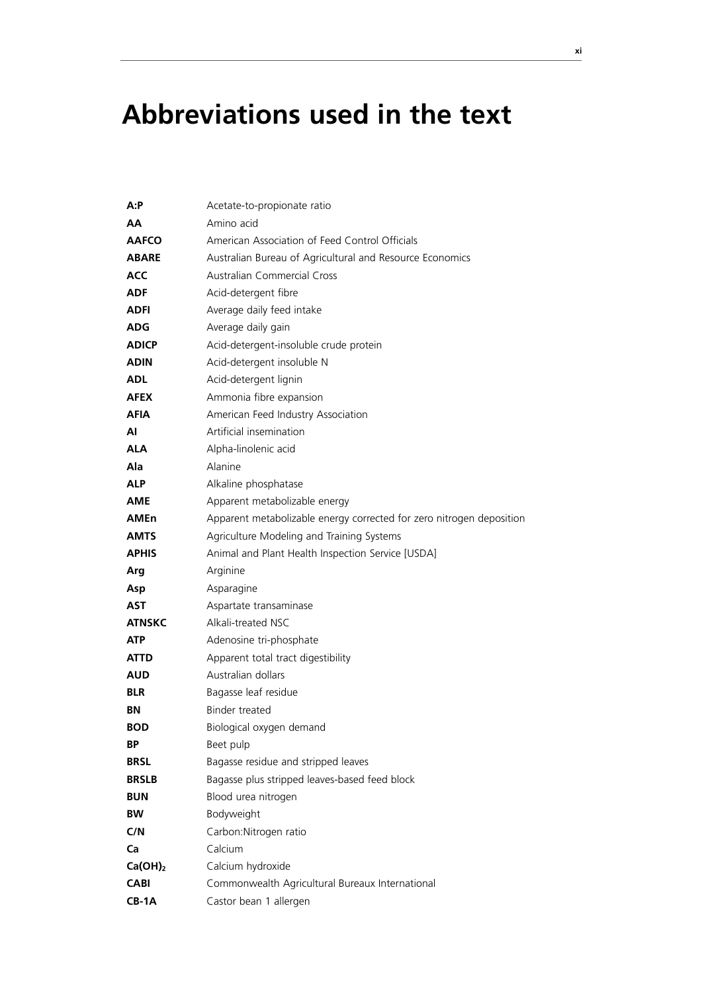# **Abbreviations used in the text**

| A:P           | Acetate-to-propionate ratio                                          |  |
|---------------|----------------------------------------------------------------------|--|
| AА            | Amino acid                                                           |  |
| <b>AAFCO</b>  | American Association of Feed Control Officials                       |  |
| <b>ABARE</b>  | Australian Bureau of Agricultural and Resource Economics             |  |
| <b>ACC</b>    | <b>Australian Commercial Cross</b>                                   |  |
| ADF           | Acid-detergent fibre                                                 |  |
| ADFI          | Average daily feed intake                                            |  |
| ADG           | Average daily gain                                                   |  |
| <b>ADICP</b>  | Acid-detergent-insoluble crude protein                               |  |
| ADIN          | Acid-detergent insoluble N                                           |  |
| ADL           | Acid-detergent lignin                                                |  |
| AFEX          | Ammonia fibre expansion                                              |  |
| AFIA          | American Feed Industry Association                                   |  |
| Al            | Artificial insemination                                              |  |
| ALA           | Alpha-linolenic acid                                                 |  |
| Ala           | Alanine                                                              |  |
| <b>ALP</b>    | Alkaline phosphatase                                                 |  |
| <b>AME</b>    | Apparent metabolizable energy                                        |  |
| AMEn          | Apparent metabolizable energy corrected for zero nitrogen deposition |  |
| <b>AMTS</b>   | Agriculture Modeling and Training Systems                            |  |
| <b>APHIS</b>  | Animal and Plant Health Inspection Service [USDA]                    |  |
| Arg           | Arginine                                                             |  |
| Asp           | Asparagine                                                           |  |
| AST           | Aspartate transaminase                                               |  |
| <b>ATNSKC</b> | Alkali-treated NSC                                                   |  |
| ATP           | Adenosine tri-phosphate                                              |  |
| ATTD          | Apparent total tract digestibility                                   |  |
| AUD           | Australian dollars                                                   |  |
| <b>BLR</b>    | Bagasse leaf residue                                                 |  |
| ΒN            | <b>Binder treated</b>                                                |  |
| <b>BOD</b>    | Biological oxygen demand                                             |  |
| ΒP            | Beet pulp                                                            |  |
| <b>BRSL</b>   | Bagasse residue and stripped leaves                                  |  |
| <b>BRSLB</b>  | Bagasse plus stripped leaves-based feed block                        |  |
| <b>BUN</b>    | Blood urea nitrogen                                                  |  |
| <b>BW</b>     | Bodyweight                                                           |  |
| C/N           | Carbon: Nitrogen ratio                                               |  |
| Ca            | Calcium                                                              |  |
| $Ca(OH)_2$    | Calcium hydroxide                                                    |  |
| <b>CABI</b>   | Commonwealth Agricultural Bureaux International                      |  |
| $CB-1A$       | Castor bean 1 allergen                                               |  |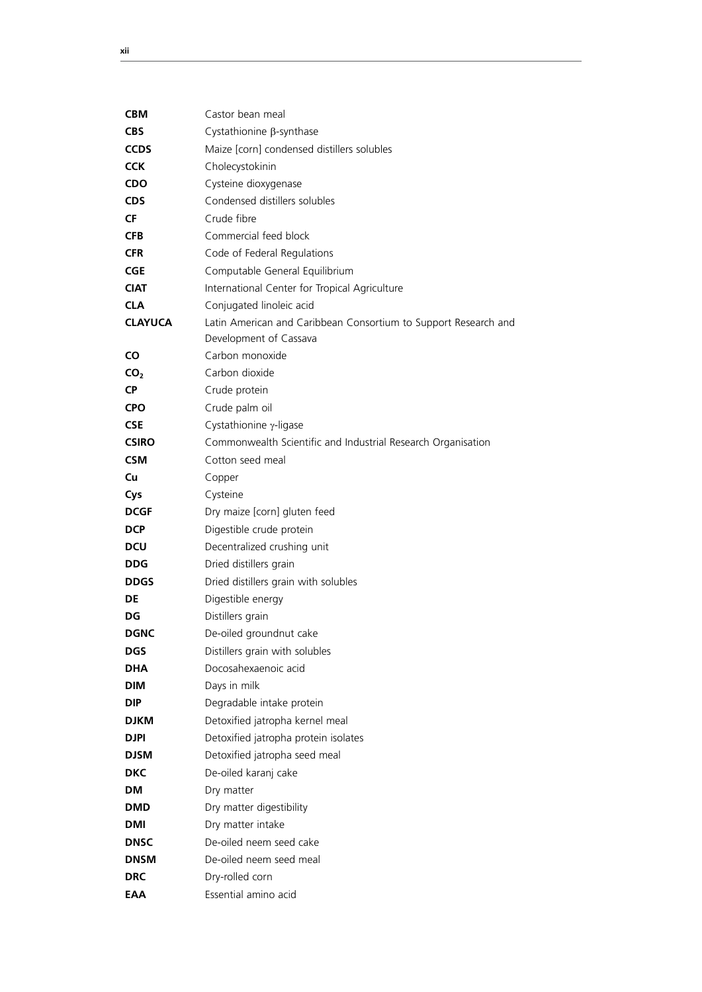| <b>CBM</b>      | Castor bean meal                                                                          |
|-----------------|-------------------------------------------------------------------------------------------|
| <b>CBS</b>      | Cystathionine β-synthase                                                                  |
| <b>CCDS</b>     | Maize [corn] condensed distillers solubles                                                |
| <b>CCK</b>      | Cholecystokinin                                                                           |
| CDO             | Cysteine dioxygenase                                                                      |
| <b>CDS</b>      | Condensed distillers solubles                                                             |
| CF              | Crude fibre                                                                               |
| <b>CFB</b>      | Commercial feed block                                                                     |
| <b>CFR</b>      | Code of Federal Regulations                                                               |
| <b>CGE</b>      | Computable General Equilibrium                                                            |
| <b>CIAT</b>     | International Center for Tropical Agriculture                                             |
| <b>CLA</b>      | Conjugated linoleic acid                                                                  |
| <b>CLAYUCA</b>  | Latin American and Caribbean Consortium to Support Research and<br>Development of Cassava |
| CO              | Carbon monoxide                                                                           |
| CO <sub>2</sub> | Carbon dioxide                                                                            |
| <b>CP</b>       | Crude protein                                                                             |
| <b>CPO</b>      | Crude palm oil                                                                            |
| <b>CSE</b>      | Cystathionine γ-ligase                                                                    |
| <b>CSIRO</b>    | Commonwealth Scientific and Industrial Research Organisation                              |
| <b>CSM</b>      | Cotton seed meal                                                                          |
| Cu              | Copper                                                                                    |
| Cys             | Cysteine                                                                                  |
| <b>DCGF</b>     | Dry maize [corn] gluten feed                                                              |
| <b>DCP</b>      | Digestible crude protein                                                                  |
| DCU             | Decentralized crushing unit                                                               |
| <b>DDG</b>      | Dried distillers grain                                                                    |
| <b>DDGS</b>     | Dried distillers grain with solubles                                                      |
| DE              | Digestible energy                                                                         |
| DG              | Distillers grain                                                                          |
| <b>DGNC</b>     | De-oiled groundnut cake                                                                   |
| <b>DGS</b>      | Distillers grain with solubles                                                            |
| <b>DHA</b>      | Docosahexaenoic acid                                                                      |
| DIM             | Days in milk                                                                              |
| <b>DIP</b>      | Degradable intake protein                                                                 |
| DJKM            | Detoxified jatropha kernel meal                                                           |
| <b>DJPI</b>     | Detoxified jatropha protein isolates                                                      |
| DJSM            | Detoxified jatropha seed meal                                                             |
| <b>DKC</b>      | De-oiled karanj cake                                                                      |
| DМ              | Dry matter                                                                                |
| DMD             | Dry matter digestibility                                                                  |
| DMI             | Dry matter intake                                                                         |
| <b>DNSC</b>     | De-oiled neem seed cake                                                                   |
| <b>DNSM</b>     | De-oiled neem seed meal                                                                   |
| <b>DRC</b>      | Dry-rolled corn                                                                           |
| EAA             | Essential amino acid                                                                      |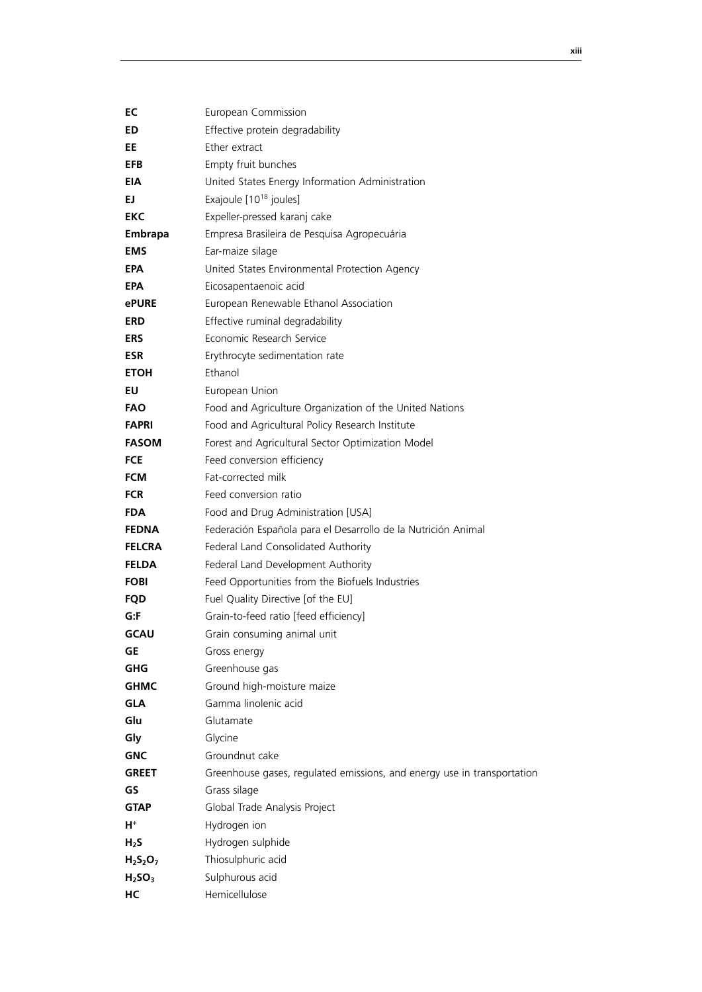| EC                             | European Commission                                                     |
|--------------------------------|-------------------------------------------------------------------------|
| ED.                            | Effective protein degradability                                         |
| EE                             | Ether extract                                                           |
| <b>EFB</b>                     | Empty fruit bunches                                                     |
| EIA                            | United States Energy Information Administration                         |
| EJ.                            | Exajoule [10 <sup>18</sup> joules]                                      |
| EKC                            | Expeller-pressed karanj cake                                            |
| <b>Embrapa</b>                 | Empresa Brasileira de Pesquisa Agropecuária                             |
| <b>EMS</b>                     | Ear-maize silage                                                        |
| <b>EPA</b>                     | United States Environmental Protection Agency                           |
| <b>EPA</b>                     | Eicosapentaenoic acid                                                   |
| <b>ePURE</b>                   | European Renewable Ethanol Association                                  |
| <b>ERD</b>                     | Effective ruminal degradability                                         |
| <b>ERS</b>                     | Economic Research Service                                               |
| <b>ESR</b>                     | Erythrocyte sedimentation rate                                          |
| <b>ETOH</b>                    | Ethanol                                                                 |
| EU                             | European Union                                                          |
| <b>FAO</b>                     | Food and Agriculture Organization of the United Nations                 |
| <b>FAPRI</b>                   | Food and Agricultural Policy Research Institute                         |
| <b>FASOM</b>                   | Forest and Agricultural Sector Optimization Model                       |
| <b>FCE</b>                     | Feed conversion efficiency                                              |
| <b>FCM</b>                     | Fat-corrected milk                                                      |
| <b>FCR</b>                     | Feed conversion ratio                                                   |
| <b>FDA</b>                     | Food and Drug Administration [USA]                                      |
| <b>FEDNA</b>                   | Federación Española para el Desarrollo de la Nutrición Animal           |
| <b>FELCRA</b>                  | Federal Land Consolidated Authority                                     |
| <b>FELDA</b>                   | Federal Land Development Authority                                      |
| <b>FOBI</b>                    | Feed Opportunities from the Biofuels Industries                         |
| <b>FQD</b>                     | Fuel Quality Directive [of the EU]                                      |
| G:F                            | Grain-to-feed ratio [feed efficiency]                                   |
| GCAU                           | Grain consuming animal unit                                             |
| <b>GE</b>                      | Gross energy                                                            |
| <b>GHG</b>                     | Greenhouse gas                                                          |
| <b>GHMC</b>                    | Ground high-moisture maize                                              |
| <b>GLA</b>                     | Gamma linolenic acid                                                    |
| Glu                            | Glutamate                                                               |
| Gly                            | Glycine                                                                 |
| <b>GNC</b>                     | Groundnut cake                                                          |
| <b>GREET</b>                   | Greenhouse gases, regulated emissions, and energy use in transportation |
| GS                             | Grass silage                                                            |
| <b>GTAP</b>                    | Global Trade Analysis Project                                           |
| $H^+$                          | Hydrogen ion                                                            |
| $H_2S$                         | Hydrogen sulphide                                                       |
| $H_2S_2O_7$                    | Thiosulphuric acid                                                      |
| H <sub>2</sub> SO <sub>3</sub> | Sulphurous acid                                                         |
| HC                             | Hemicellulose                                                           |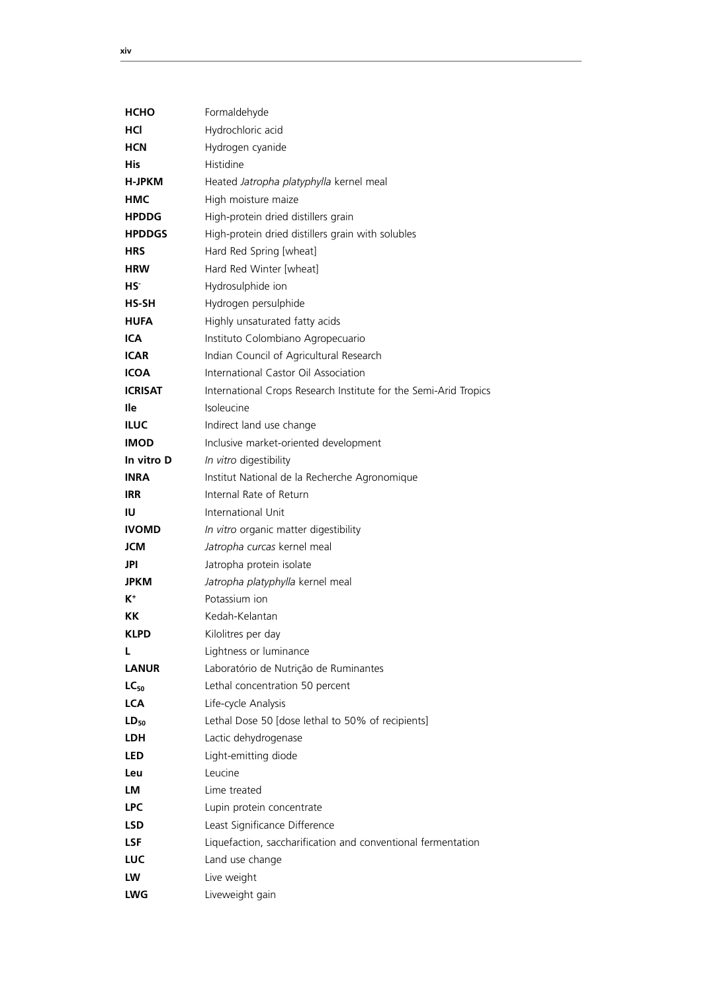| <b>HCHO</b>    | Formaldehyde                                                     |
|----------------|------------------------------------------------------------------|
| HCI            | Hydrochloric acid                                                |
| <b>HCN</b>     | Hydrogen cyanide                                                 |
| His            | Histidine                                                        |
| H-JPKM         | Heated Jatropha platyphylla kernel meal                          |
| HMC            | High moisture maize                                              |
| <b>HPDDG</b>   | High-protein dried distillers grain                              |
| <b>HPDDGS</b>  | High-protein dried distillers grain with solubles                |
| <b>HRS</b>     | Hard Red Spring [wheat]                                          |
| <b>HRW</b>     | Hard Red Winter [wheat]                                          |
| HS.            | Hydrosulphide ion                                                |
| HS-SH          | Hydrogen persulphide                                             |
| <b>HUFA</b>    | Highly unsaturated fatty acids                                   |
| <b>ICA</b>     | Instituto Colombiano Agropecuario                                |
| <b>ICAR</b>    | Indian Council of Agricultural Research                          |
| <b>ICOA</b>    | International Castor Oil Association                             |
| <b>ICRISAT</b> | International Crops Research Institute for the Semi-Arid Tropics |
| lle            | Isoleucine                                                       |
| <b>ILUC</b>    | Indirect land use change                                         |
| <b>IMOD</b>    | Inclusive market-oriented development                            |
| In vitro D     | In vitro digestibility                                           |
| <b>INRA</b>    | Institut National de la Recherche Agronomique                    |
| <b>IRR</b>     | Internal Rate of Return                                          |
| ΙU             | International Unit                                               |
| <b>IVOMD</b>   | In vitro organic matter digestibility                            |
| JCM            | Jatropha curcas kernel meal                                      |
| JPI            | Jatropha protein isolate                                         |
| <b>JPKM</b>    | Jatropha platyphylla kernel meal                                 |
| $K^+$          | Potassium ion                                                    |
| КK             | Kedah-Kelantan                                                   |
| <b>KLPD</b>    | Kilolitres per day                                               |
| L              | Lightness or luminance                                           |
| <b>LANUR</b>   | Laboratório de Nutrição de Ruminantes                            |
| $LC_{50}$      | Lethal concentration 50 percent                                  |
| <b>LCA</b>     | Life-cycle Analysis                                              |
| $LD_{50}$      | Lethal Dose 50 [dose lethal to 50% of recipients]                |
| <b>LDH</b>     | Lactic dehydrogenase                                             |
| <b>LED</b>     | Light-emitting diode                                             |
| Leu            | Leucine                                                          |
| LM             | Lime treated                                                     |
| <b>LPC</b>     | Lupin protein concentrate                                        |
| <b>LSD</b>     | Least Significance Difference                                    |
| <b>LSF</b>     | Liquefaction, saccharification and conventional fermentation     |
| LUC            | Land use change                                                  |
| LW             | Live weight                                                      |
| <b>LWG</b>     | Liveweight gain                                                  |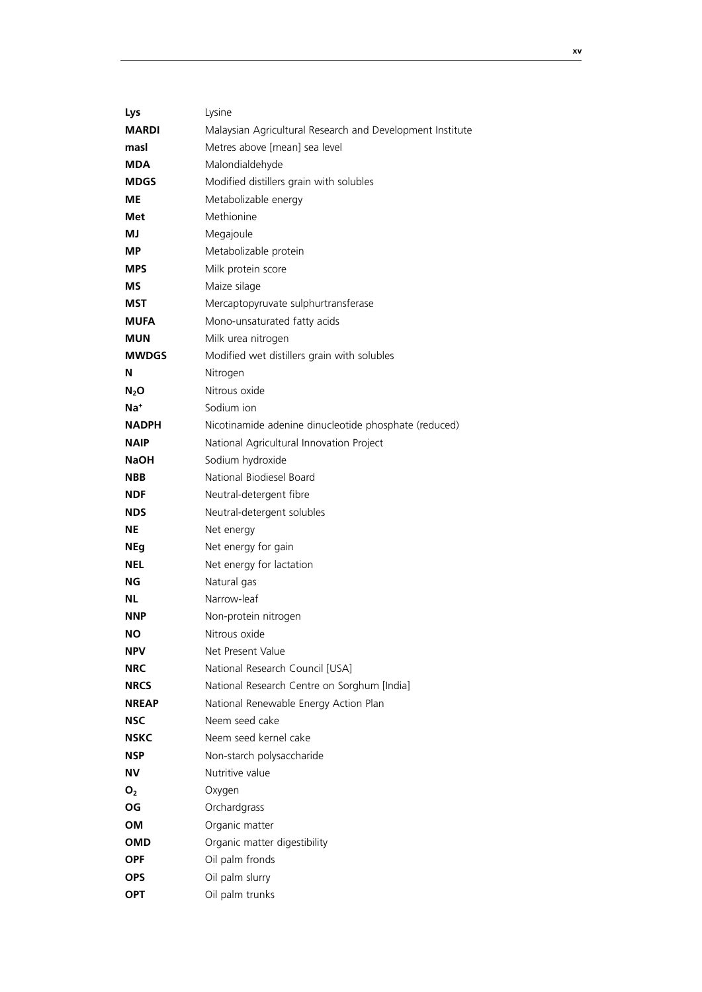| Lys             | Lysine                                                    |
|-----------------|-----------------------------------------------------------|
| <b>MARDI</b>    | Malaysian Agricultural Research and Development Institute |
| masl            | Metres above [mean] sea level                             |
| <b>MDA</b>      | Malondialdehyde                                           |
| <b>MDGS</b>     | Modified distillers grain with solubles                   |
| МE              | Metabolizable energy                                      |
| Met             | Methionine                                                |
| МJ              | Megajoule                                                 |
| МP              | Metabolizable protein                                     |
| <b>MPS</b>      | Milk protein score                                        |
| МS              | Maize silage                                              |
| MST             | Mercaptopyruvate sulphurtransferase                       |
| <b>MUFA</b>     | Mono-unsaturated fatty acids                              |
| <b>MUN</b>      | Milk urea nitrogen                                        |
| <b>MWDGS</b>    | Modified wet distillers grain with solubles               |
| N               | Nitrogen                                                  |
| $N_2$ O         | Nitrous oxide                                             |
| Na <sup>+</sup> | Sodium ion                                                |
| <b>NADPH</b>    | Nicotinamide adenine dinucleotide phosphate (reduced)     |
| NAIP            | National Agricultural Innovation Project                  |
| <b>NaOH</b>     | Sodium hydroxide                                          |
| <b>NBB</b>      | National Biodiesel Board                                  |
| <b>NDF</b>      | Neutral-detergent fibre                                   |
| NDS             | Neutral-detergent solubles                                |
| ΝE              | Net energy                                                |
| <b>NEg</b>      | Net energy for gain                                       |
| NEL             | Net energy for lactation                                  |
| ΝG              | Natural gas                                               |
| NL              | Narrow-leaf                                               |
| <b>NNP</b>      | Non-protein nitrogen                                      |
| NΟ              | Nitrous oxide                                             |
| NPV             | Net Present Value                                         |
| <b>NRC</b>      | National Research Council [USA]                           |
| <b>NRCS</b>     | National Research Centre on Sorghum [India]               |
| <b>NREAP</b>    | National Renewable Energy Action Plan                     |
| <b>NSC</b>      | Neem seed cake                                            |
| NSKC            | Neem seed kernel cake                                     |
| NSP             | Non-starch polysaccharide                                 |
| ΝV              | Nutritive value                                           |
| O <sub>2</sub>  | Oxygen                                                    |
| ΟG              | Orchardgrass                                              |
| OM              | Organic matter                                            |
| OMD             | Organic matter digestibility                              |
| <b>OPF</b>      | Oil palm fronds                                           |
| <b>OPS</b>      | Oil palm slurry                                           |
| <b>OPT</b>      | Oil palm trunks                                           |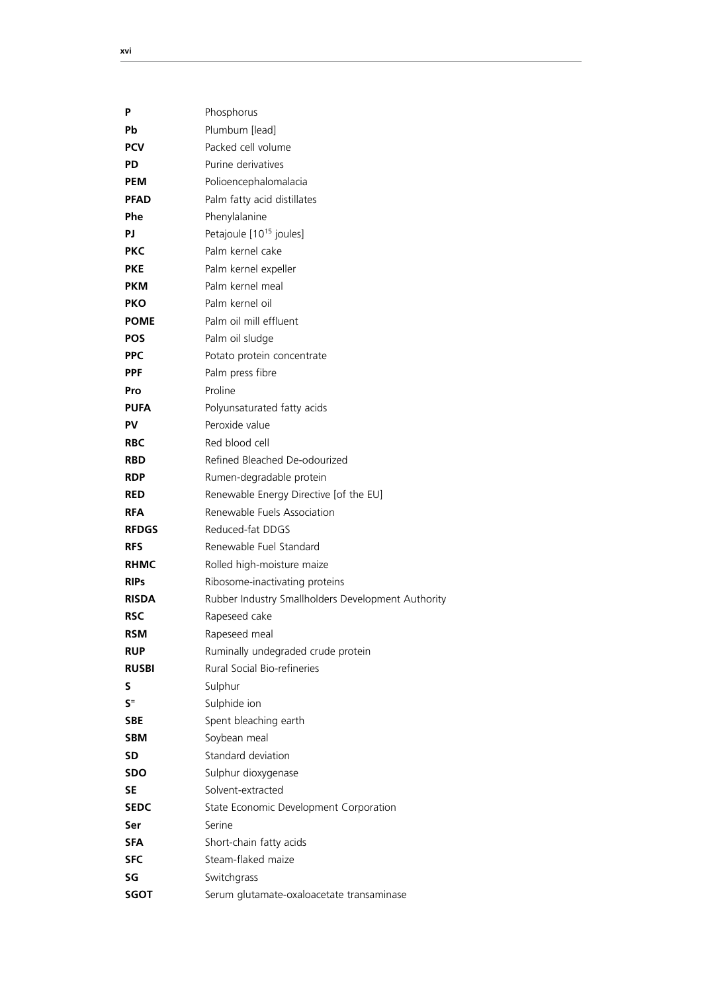| P            | Phosphorus                                         |
|--------------|----------------------------------------------------|
| Рb           | Plumbum [lead]                                     |
| <b>PCV</b>   | Packed cell volume                                 |
| <b>PD</b>    | Purine derivatives                                 |
| <b>PEM</b>   | Polioencephalomalacia                              |
| <b>PFAD</b>  | Palm fatty acid distillates                        |
| Phe          | Phenylalanine                                      |
| РJ           | Petajoule [10 <sup>15</sup> joules]                |
| <b>PKC</b>   | Palm kernel cake                                   |
| <b>PKE</b>   | Palm kernel expeller                               |
| <b>PKM</b>   | Palm kernel meal                                   |
| <b>PKO</b>   | Palm kernel oil                                    |
| <b>POME</b>  | Palm oil mill effluent                             |
| <b>POS</b>   | Palm oil sludge                                    |
| <b>PPC</b>   | Potato protein concentrate                         |
| <b>PPF</b>   | Palm press fibre                                   |
| Pro          | Proline                                            |
| PUFA         | Polyunsaturated fatty acids                        |
| PV           | Peroxide value                                     |
| <b>RBC</b>   | Red blood cell                                     |
| <b>RBD</b>   | Refined Bleached De-odourized                      |
| <b>RDP</b>   | Rumen-degradable protein                           |
| <b>RED</b>   | Renewable Energy Directive [of the EU]             |
| <b>RFA</b>   | Renewable Fuels Association                        |
| <b>RFDGS</b> | Reduced-fat DDGS                                   |
| <b>RFS</b>   | Renewable Fuel Standard                            |
| <b>RHMC</b>  | Rolled high-moisture maize                         |
| <b>RIPs</b>  | Ribosome-inactivating proteins                     |
| <b>RISDA</b> | Rubber Industry Smallholders Development Authority |
| <b>RSC</b>   | Rapeseed cake                                      |
| <b>RSM</b>   | Rapeseed meal                                      |
| <b>RUP</b>   | Ruminally undegraded crude protein                 |
| <b>RUSBI</b> | Rural Social Bio-refineries                        |
| S            | Sulphur                                            |
| $S =$        | Sulphide ion                                       |
| <b>SBE</b>   | Spent bleaching earth                              |
| <b>SBM</b>   | Soybean meal                                       |
| SD           | Standard deviation                                 |
| SDO          | Sulphur dioxygenase                                |
| SE           | Solvent-extracted                                  |
| <b>SEDC</b>  | State Economic Development Corporation             |
| Ser          | Serine                                             |
| <b>SFA</b>   | Short-chain fatty acids                            |
| SFC          | Steam-flaked maize                                 |
| SG           | Switchgrass                                        |
| <b>SGOT</b>  | Serum glutamate-oxaloacetate transaminase          |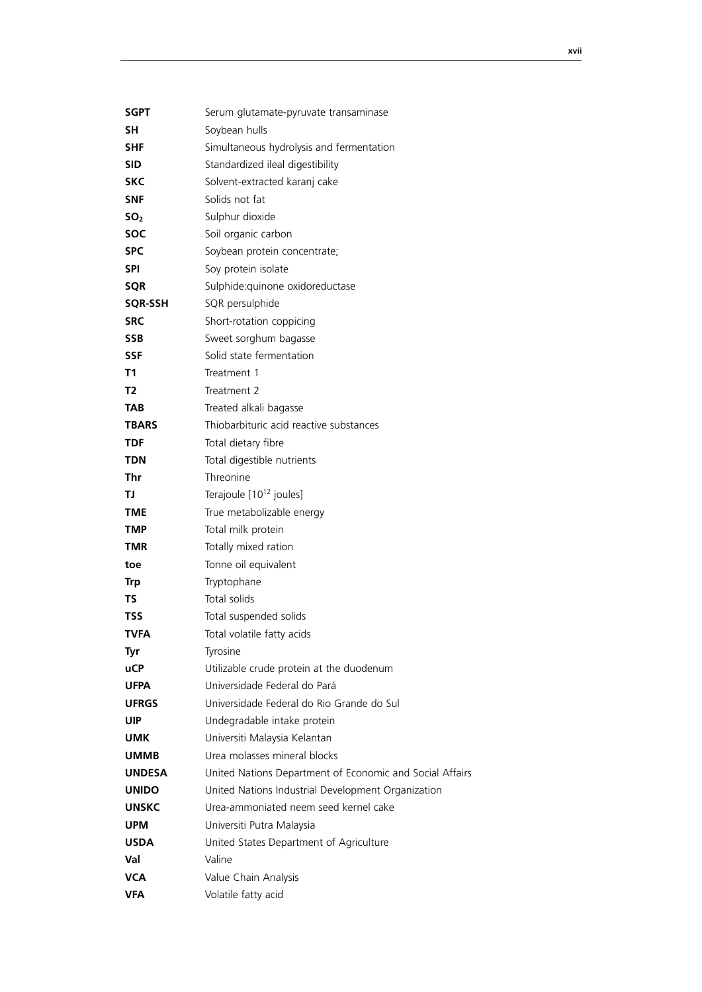| SGPT            | Serum glutamate-pyruvate transaminase                    |
|-----------------|----------------------------------------------------------|
| SΗ              | Soybean hulls                                            |
| <b>SHF</b>      | Simultaneous hydrolysis and fermentation                 |
| <b>SID</b>      | Standardized ileal digestibility                         |
| <b>SKC</b>      | Solvent-extracted karanj cake                            |
| <b>SNF</b>      | Solids not fat                                           |
| SO <sub>2</sub> | Sulphur dioxide                                          |
| <b>SOC</b>      | Soil organic carbon                                      |
| <b>SPC</b>      | Soybean protein concentrate;                             |
| <b>SPI</b>      | Soy protein isolate                                      |
| <b>SQR</b>      | Sulphide: quinone oxidoreductase                         |
| <b>SQR-SSH</b>  | SQR persulphide                                          |
| <b>SRC</b>      | Short-rotation coppicing                                 |
| <b>SSB</b>      | Sweet sorghum bagasse                                    |
| <b>SSF</b>      | Solid state fermentation                                 |
| T1              | Treatment 1                                              |
| T <sub>2</sub>  | Treatment 2                                              |
| TAB             | Treated alkali bagasse                                   |
| <b>TBARS</b>    | Thiobarbituric acid reactive substances                  |
| <b>TDF</b>      | Total dietary fibre                                      |
| <b>TDN</b>      | Total digestible nutrients                               |
| Thr             | Threonine                                                |
| <b>TJ</b>       | Terajoule [10 <sup>12</sup> joules]                      |
| <b>TME</b>      | True metabolizable energy                                |
| <b>TMP</b>      | Total milk protein                                       |
| <b>TMR</b>      | Totally mixed ration                                     |
| toe             | Tonne oil equivalent                                     |
| <b>Trp</b>      | Tryptophane                                              |
| ΤS              | Total solids                                             |
| <b>TSS</b>      | Total suspended solids                                   |
| TVFA            | Total volatile fatty acids                               |
| Tyr             | Tyrosine                                                 |
| <b>uCP</b>      | Utilizable crude protein at the duodenum                 |
| UFPA            | Universidade Federal do Pará                             |
| <b>UFRGS</b>    | Universidade Federal do Rio Grande do Sul                |
| <b>UIP</b>      | Undegradable intake protein                              |
| UMK             | Universiti Malaysia Kelantan                             |
| <b>UMMB</b>     | Urea molasses mineral blocks                             |
| <b>UNDESA</b>   | United Nations Department of Economic and Social Affairs |
| <b>UNIDO</b>    | United Nations Industrial Development Organization       |
| <b>UNSKC</b>    | Urea-ammoniated neem seed kernel cake                    |
| <b>UPM</b>      | Universiti Putra Malaysia                                |
| USDA            | United States Department of Agriculture                  |
| Val             | Valine                                                   |
| VCA             | Value Chain Analysis                                     |
| VFA             | Volatile fatty acid                                      |